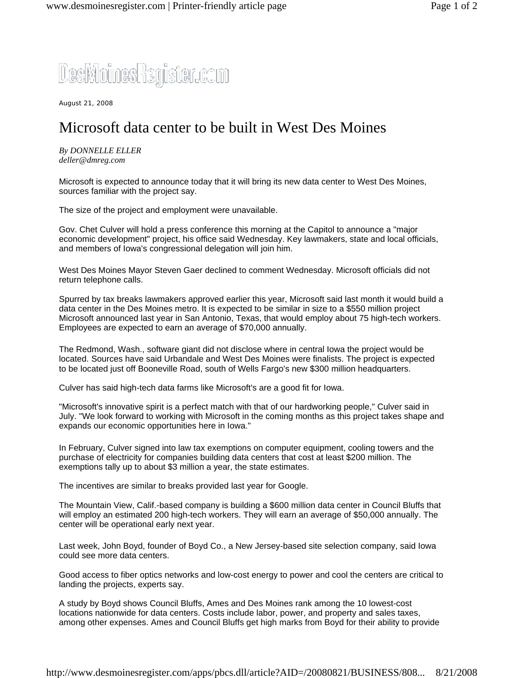## DesMoinesRegister.com

August 21, 2008

## Microsoft data center to be built in West Des Moines

*By DONNELLE ELLER deller@dmreg.com*

Microsoft is expected to announce today that it will bring its new data center to West Des Moines, sources familiar with the project say.

The size of the project and employment were unavailable.

Gov. Chet Culver will hold a press conference this morning at the Capitol to announce a "major economic development" project, his office said Wednesday. Key lawmakers, state and local officials, and members of Iowa's congressional delegation will join him.

West Des Moines Mayor Steven Gaer declined to comment Wednesday. Microsoft officials did not return telephone calls.

Spurred by tax breaks lawmakers approved earlier this year, Microsoft said last month it would build a data center in the Des Moines metro. It is expected to be similar in size to a \$550 million project Microsoft announced last year in San Antonio, Texas, that would employ about 75 high-tech workers. Employees are expected to earn an average of \$70,000 annually.

The Redmond, Wash., software giant did not disclose where in central Iowa the project would be located. Sources have said Urbandale and West Des Moines were finalists. The project is expected to be located just off Booneville Road, south of Wells Fargo's new \$300 million headquarters.

Culver has said high-tech data farms like Microsoft's are a good fit for Iowa.

"Microsoft's innovative spirit is a perfect match with that of our hardworking people," Culver said in July. "We look forward to working with Microsoft in the coming months as this project takes shape and expands our economic opportunities here in Iowa."

In February, Culver signed into law tax exemptions on computer equipment, cooling towers and the purchase of electricity for companies building data centers that cost at least \$200 million. The exemptions tally up to about \$3 million a year, the state estimates.

The incentives are similar to breaks provided last year for Google.

The Mountain View, Calif.-based company is building a \$600 million data center in Council Bluffs that will employ an estimated 200 high-tech workers. They will earn an average of \$50,000 annually. The center will be operational early next year.

Last week, John Boyd, founder of Boyd Co., a New Jersey-based site selection company, said Iowa could see more data centers.

Good access to fiber optics networks and low-cost energy to power and cool the centers are critical to landing the projects, experts say.

A study by Boyd shows Council Bluffs, Ames and Des Moines rank among the 10 lowest-cost locations nationwide for data centers. Costs include labor, power, and property and sales taxes, among other expenses. Ames and Council Bluffs get high marks from Boyd for their ability to provide